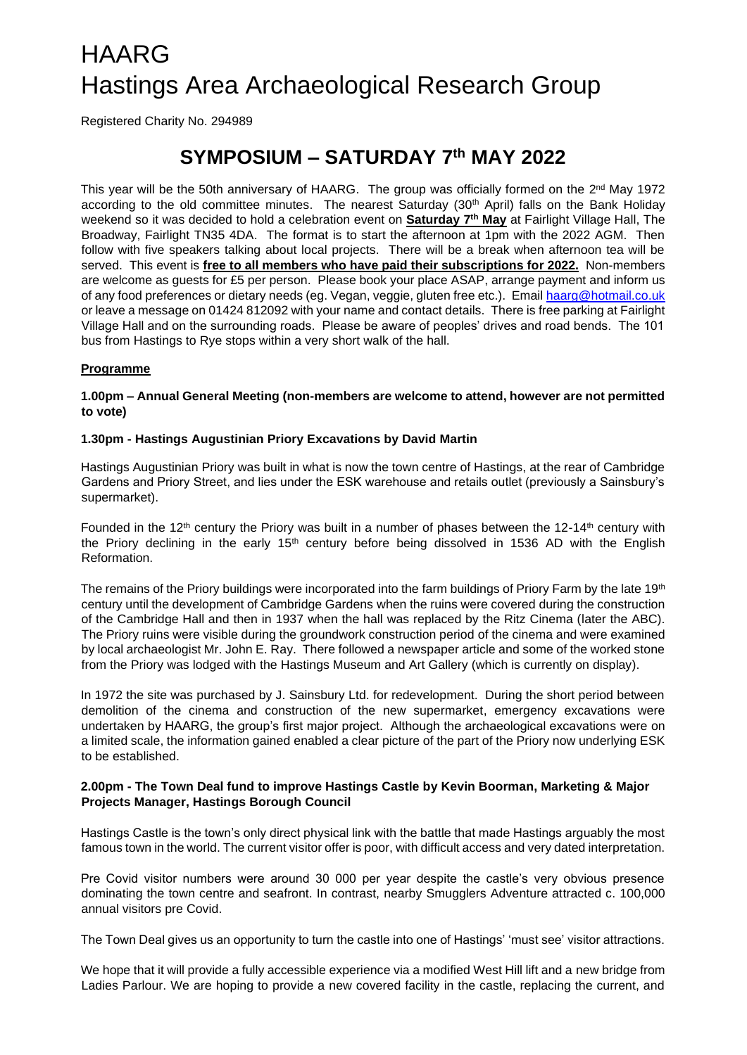# HAARG Hastings Area Archaeological Research Group

Registered Charity No. 294989

# **SYMPOSIUM – SATURDAY 7th MAY 2022**

This year will be the 50th anniversary of HAARG. The group was officially formed on the 2<sup>nd</sup> May 1972 according to the old committee minutes. The nearest Saturday (30<sup>th</sup> April) falls on the Bank Holiday weekend so it was decided to hold a celebration event on **Saturday 7th May** at Fairlight Village Hall, The Broadway, Fairlight TN35 4DA. The format is to start the afternoon at 1pm with the 2022 AGM. Then follow with five speakers talking about local projects. There will be a break when afternoon tea will be served. This event is **free to all members who have paid their subscriptions for 2022.** Non-members are welcome as guests for £5 per person. Please book your place ASAP, arrange payment and inform us of any food preferences or dietary needs (eg. Vegan, veggie, gluten free etc.). Email [haarg@hotmail.co.uk](mailto:haarg@hotmail.co.uk) or leave a message on 01424 812092 with your name and contact details. There is free parking at Fairlight Village Hall and on the surrounding roads. Please be aware of peoples' drives and road bends. The 101 bus from Hastings to Rye stops within a very short walk of the hall.

## **Programme**

**1.00pm – Annual General Meeting (non-members are welcome to attend, however are not permitted to vote)**

## **1.30pm - Hastings Augustinian Priory Excavations by David Martin**

Hastings Augustinian Priory was built in what is now the town centre of Hastings, at the rear of Cambridge Gardens and Priory Street, and lies under the ESK warehouse and retails outlet (previously a Sainsbury's supermarket).

Founded in the 12<sup>th</sup> century the Priory was built in a number of phases between the 12-14<sup>th</sup> century with the Priory declining in the early  $15<sup>th</sup>$  century before being dissolved in 1536 AD with the English Reformation.

The remains of the Priory buildings were incorporated into the farm buildings of Priory Farm by the late 19<sup>th</sup> century until the development of Cambridge Gardens when the ruins were covered during the construction of the Cambridge Hall and then in 1937 when the hall was replaced by the Ritz Cinema (later the ABC). The Priory ruins were visible during the groundwork construction period of the cinema and were examined by local archaeologist Mr. John E. Ray. There followed a newspaper article and some of the worked stone from the Priory was lodged with the Hastings Museum and Art Gallery (which is currently on display).

In 1972 the site was purchased by J. Sainsbury Ltd. for redevelopment. During the short period between demolition of the cinema and construction of the new supermarket, emergency excavations were undertaken by HAARG, the group's first major project. Although the archaeological excavations were on a limited scale, the information gained enabled a clear picture of the part of the Priory now underlying ESK to be established.

#### **2.00pm - The Town Deal fund to improve Hastings Castle by Kevin Boorman, Marketing & Major Projects Manager, Hastings Borough Council**

Hastings Castle is the town's only direct physical link with the battle that made Hastings arguably the most famous town in the world. The current visitor offer is poor, with difficult access and very dated interpretation.

Pre Covid visitor numbers were around 30 000 per year despite the castle's very obvious presence dominating the town centre and seafront. In contrast, nearby Smugglers Adventure attracted c. 100,000 annual visitors pre Covid.

The Town Deal gives us an opportunity to turn the castle into one of Hastings' 'must see' visitor attractions.

We hope that it will provide a fully accessible experience via a modified West Hill lift and a new bridge from Ladies Parlour. We are hoping to provide a new covered facility in the castle, replacing the current, and